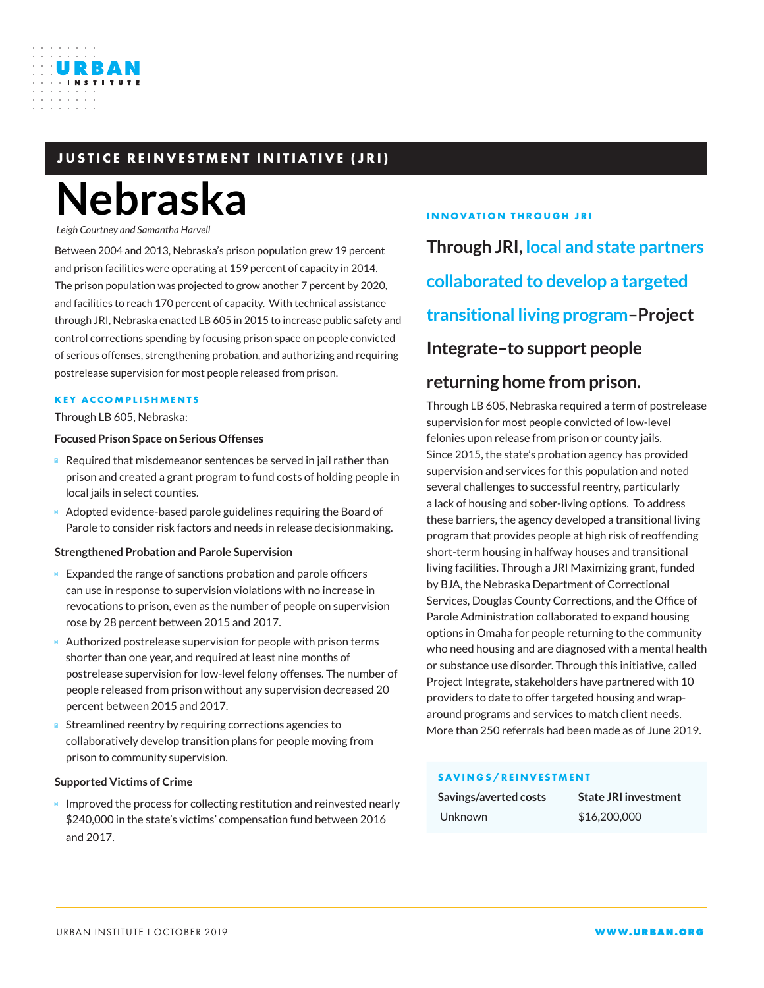# **JUSTICE REINVESTMENT INITIATIVE (JRI)**

# **Nebraska**

*Leigh Courtney and Samantha Harvell*

URBAN

Between 2004 and 2013, Nebraska's prison population grew 19 percent and prison facilities were operating at 159 percent of capacity in 2014. The prison population was projected to grow another 7 percent by 2020, and facilities to reach 170 percent of capacity. With technical assistance through JRI, Nebraska enacted LB 605 in 2015 to increase public safety and control corrections spending by focusing prison space on people convicted of serious offenses, strengthening probation, and authorizing and requiring postrelease supervision for most people released from prison.

## **KEY ACCOMPLISHMENTS**

Through LB 605, Nebraska:

#### **Focused Prison Space on Serious Offenses**

Required that misdemeanor sentences be served in jail rather than prison and created a grant program to fund costs of holding people in local jails in select counties.

Adopted evidence-based parole guidelines requiring the Board of Parole to consider risk factors and needs in release decisionmaking.

## **Strengthened Probation and Parole Supervision**

Expanded the range of sanctions probation and parole officers can use in response to supervision violations with no increase in revocations to prison, even as the number of people on supervision rose by 28 percent between 2015 and 2017.

Authorized postrelease supervision for people with prison terms shorter than one year, and required at least nine months of postrelease supervision for low-level felony offenses. The number of people released from prison without any supervision decreased 20 percent between 2015 and 2017.

Streamlined reentry by requiring corrections agencies to collaboratively develop transition plans for people moving from prison to community supervision.

## **Supported Victims of Crime**

Improved the process for collecting restitution and reinvested nearly \$240,000 in the state's victims' compensation fund between 2016 and 2017.

## **INNOVATION THROUGH JRI**

**Through JRI, local and state partners collaborated to develop a targeted transitional living program–Project Integrate–to support people** 

## **returning home from prison.**

Through LB 605, Nebraska required a term of postrelease supervision for most people convicted of low-level felonies upon release from prison or county jails. Since 2015, the state's probation agency has provided supervision and services for this population and noted several challenges to successful reentry, particularly a lack of housing and sober-living options. To address these barriers, the agency developed a transitional living program that provides people at high risk of reoffending short-term housing in halfway houses and transitional living facilities. Through a JRI Maximizing grant, funded by BJA, the Nebraska Department of Correctional Services, Douglas County Corrections, and the Office of Parole Administration collaborated to expand housing options in Omaha for people returning to the community who need housing and are diagnosed with a mental health or substance use disorder. Through this initiative, called Project Integrate, stakeholders have partnered with 10 providers to date to offer targeted housing and wraparound programs and services to match client needs. More than 250 referrals had been made as of June 2019.

## **SAVINGS/REINVESTMENT**

| Savings/averted costs | <b>State JRI investment</b> |
|-----------------------|-----------------------------|
| Unknown               | \$16,200,000                |